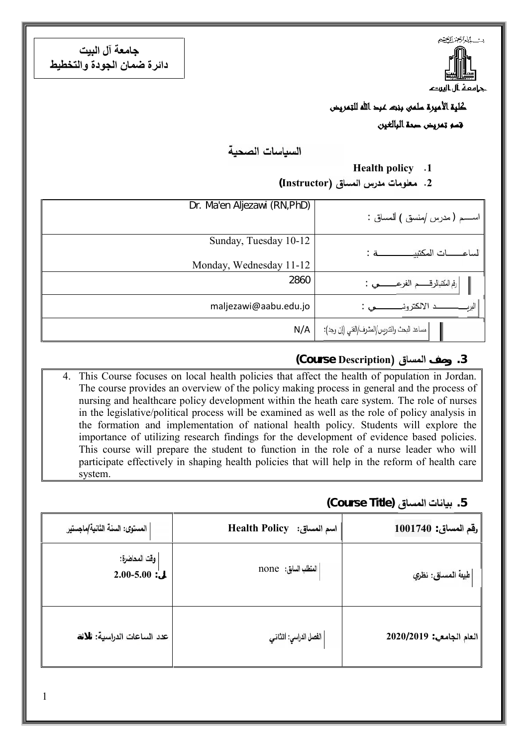**جامعة آل البیت دائرة ضمان الجودة والتخطیط**



#### **كلية الأميرة سلمى بنت عبد الله للتمريض**

**قسم تمريض صحة البالغين**

السباسات الصحبة

#### **Health policy .1**

**(Instructor .2**

| Dr. Ma'en Aljezawi (RN, PhD) | اســــــم ( مدرس /منسق ) لمساق              |
|------------------------------|---------------------------------------------|
| Sunday, Tuesday 10-12        | سات المكتبيه                                |
| Monday, Wednesday 11-12      |                                             |
| 2860                         | رفم المكتبالرقـــــــم الفرع                |
| maljezawi@aabu.edu.jo        | د الالكتروذ<br>البرد                        |
| N/A                          | مساعد البحث والتدريس/المشرف/الفني (إن وجد): |

#### **(Course Description وصف .3**

4. This Course focuses on local health policies that affect the health of population in Jordan. The course provides an overview of the policy making process in general and the process of nursing and healthcare policy development within the heath care system. The role of nurses in the legislative/political process will be examined as well as the role of policy analysis in the formation and implementation of national health policy. Students will explore the importance of utilizing research findings for the development of evidence based policies. This course will prepare the student to function in the role of a nurse leader who will participate effectively in shaping health policies that will help in the reform of health care system.

**(Course Title) ال .5**

| المستوى: السنة الثانية/ماجستير   | اسم المساق: Health Policy | _قم المساق   1001740      |
|----------------------------------|---------------------------|---------------------------|
| وقت المحاضرة:<br>$2.00 - 5.00$ : | العنطلب السابق: none      | طبيعة الممساق: نظري       |
| عدد الساعات الدراسية:            | الفصل الدراسي: الثاني     | $2020/2019$ العام الجامع: |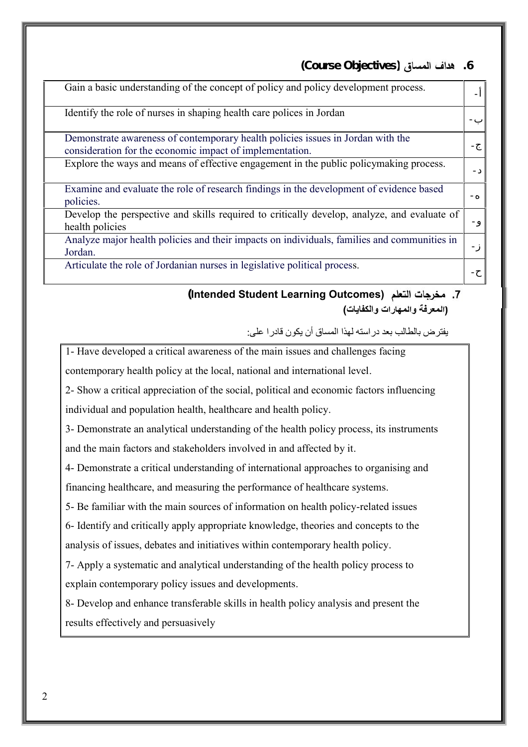**(Course Objectivesِ) .6**

| Gain a basic understanding of the concept of policy and policy development process.                                                         |  |
|---------------------------------------------------------------------------------------------------------------------------------------------|--|
| Identify the role of nurses in shaping health care polices in Jordan                                                                        |  |
| Demonstrate awareness of contemporary health policies issues in Jordan with the<br>consideration for the economic impact of implementation. |  |
| Explore the ways and means of effective engagement in the public policymaking process.                                                      |  |
| Examine and evaluate the role of research findings in the development of evidence based<br>policies.                                        |  |
| Develop the perspective and skills required to critically develop, analyze, and evaluate of<br>health policies                              |  |
| Analyze major health policies and their impacts on individuals, families and communities in<br>Jordan.                                      |  |
| Articulate the role of Jordanian nurses in legislative political process.                                                                   |  |

**(Intended Student Learning Outcomes) .7 (المعرفة والمھارات والكفایات)**

یفترض بالطالب بعد دراستھ لھذا المساق أن یكون قادرا على:

1- Have developed a critical awareness of the main issues and challenges facing

contemporary health policy at the local, national and international level.

2- Show a critical appreciation of the social, political and economic factors influencing individual and population health, healthcare and health policy.

3- Demonstrate an analytical understanding of the health policy process, its instruments and the main factors and stakeholders involved in and affected by it.

4- Demonstrate a critical understanding of international approaches to organising and financing healthcare, and measuring the performance of healthcare systems.

5- Be familiar with the main sources of information on health policy-related issues

6- Identify and critically apply appropriate knowledge, theories and concepts to the analysis of issues, debates and initiatives within contemporary health policy.

7- Apply a systematic and analytical understanding of the health policy process to explain contemporary policy issues and developments.

8- Develop and enhance transferable skills in health policy analysis and present the results effectively and persuasively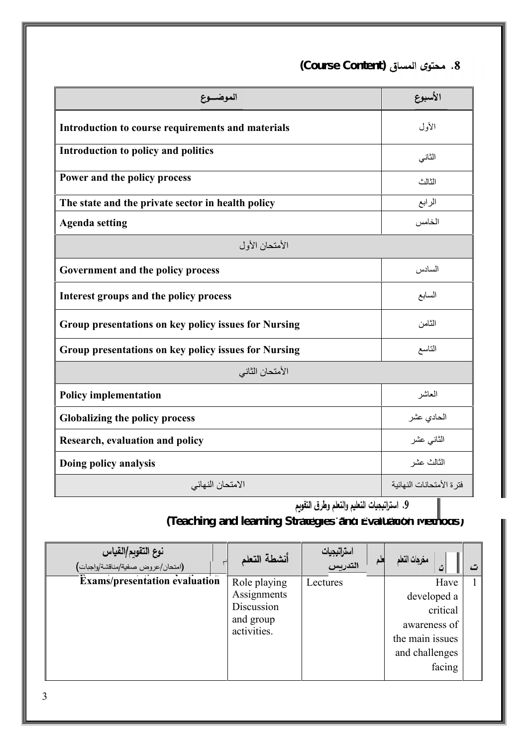الأسبوع الموضــوع **Introduction to course requirements and materials** الأول الثاني **Introduction to policy and politics** الثالث **Power and the policy process The state and the private sector in health policy** الرابع **Agenda setting** الخامس الأمتحان الأول **Government and the policy process** السادس **Interest groups and the policy process** السابع **Group presentations on key policy issues for Nursing** الثامن **Group presentations on key policy issues for Nursing** التاسع الأمتحان الثاني **Policy implementation** العاشر **Globalizing the policy process** عشر الحادي **Research, evaluation and policy** عشر الثاني **Doing policy analysis** عشر الثالث **.9** فترة الأمتحانات النھائیة الامتحان النھائي

**(Course Content) .8**

**(Teaching and learning Strategies and Evaluation Methods)**

| نوع التقويم/القياس<br>(امتحان/عروض صفية/مناقشة/واجبات) | أنشطة التعلم             | استراتيجيات<br>التدريس | مغرجات التعلم<br>ت | ت |
|--------------------------------------------------------|--------------------------|------------------------|--------------------|---|
| Exams/presentation evaluation                          | Role playing             | Lectures               | Have               |   |
|                                                        | Assignments              |                        | developed a        |   |
|                                                        | Discussion               |                        | critical           |   |
|                                                        | and group<br>activities. |                        | awareness of       |   |
|                                                        |                          |                        | the main issues    |   |
|                                                        |                          |                        | and challenges     |   |
|                                                        |                          |                        | facing             |   |
|                                                        |                          |                        |                    |   |

3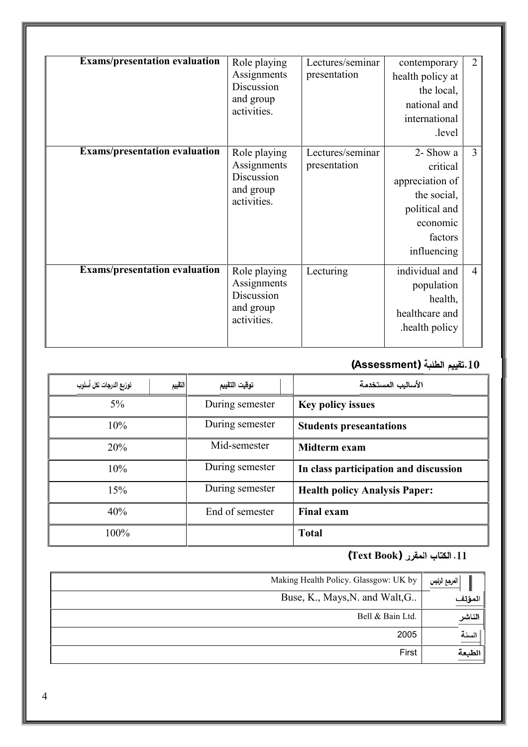| <b>Exams/presentation evaluation</b> | Role playing<br>Assignments<br>Discussion<br>and group<br>activities. | Lectures/seminar<br>presentation | contemporary<br>health policy at<br>the local,<br>national and<br>international<br>.level                      | $\overline{2}$ |
|--------------------------------------|-----------------------------------------------------------------------|----------------------------------|----------------------------------------------------------------------------------------------------------------|----------------|
| <b>Exams/presentation evaluation</b> | Role playing<br>Assignments<br>Discussion<br>and group<br>activities. | Lectures/seminar<br>presentation | 2- Show a<br>critical<br>appreciation of<br>the social,<br>political and<br>economic<br>factors<br>influencing | $\overline{3}$ |
| <b>Exams/presentation evaluation</b> | Role playing<br>Assignments<br>Discussion<br>and group<br>activities. | Lecturing                        | individual and<br>population<br>health,<br>healthcare and<br>health policy.                                    | $\overline{4}$ |

# **(Assessment) .10**

| توزيع الدرجات لكل أسلوب | توقيت التقييم<br>التقييم | الأساليب المستخدمة                    |
|-------------------------|--------------------------|---------------------------------------|
| $5\%$                   | During semester          | <b>Key policy issues</b>              |
| 10%                     | During semester          | <b>Students preseantations</b>        |
| 20%                     | Mid-semester             | Midterm exam                          |
| 10%                     | During semester          | In class participation and discussion |
| 15%                     | During semester          | <b>Health policy Analysis Paper:</b>  |
| 40%                     | End of semester          | <b>Final exam</b>                     |
| 100%                    |                          | <b>Total</b>                          |

### **(Text Book) .11**

| Making Health Policy. Glassgow: UK by | المرجع الرئيس |
|---------------------------------------|---------------|
| Buse, K., Mays, N. and Walt, G        | المؤلف        |
| Bell & Bain Ltd.                      | الناشر        |
| 2005                                  | السنة         |
| First                                 | الطبعة        |